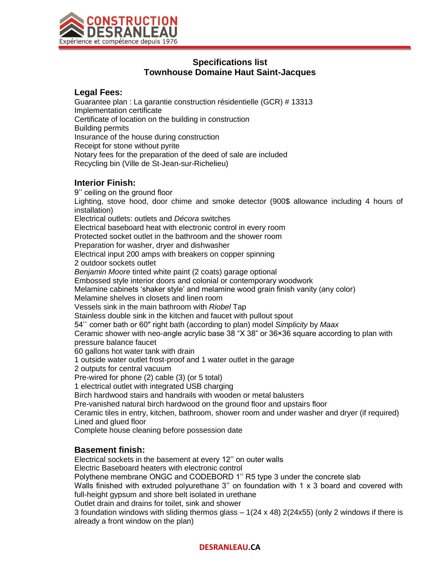

# **Specifications list Townhouse Domaine Haut Saint-Jacques**

# **Legal Fees:**

Guarantee plan : La garantie construction résidentielle (GCR) # 13313 Implementation certificate Certificate of location on the building in construction Building permits Insurance of the house during construction Receipt for stone without pyrite Notary fees for the preparation of the deed of sale are included Recycling bin (Ville de St-Jean-sur-Richelieu)

#### **Interior Finish:**

9'' ceiling on the ground floor Lighting, stove hood, door chime and smoke detector (900\$ allowance including 4 hours of installation) Electrical outlets: outlets and *Décora* switches Electrical baseboard heat with electronic control in every room Protected socket outlet in the bathroom and the shower room Preparation for washer, dryer and dishwasher Electrical input 200 amps with breakers on copper spinning 2 outdoor sockets outlet *Benjamin Moore* tinted white paint (2 coats) garage optional Embossed style interior doors and colonial or contemporary woodwork Melamine cabinets 'shaker style' and melamine wood grain finish vanity (any color) Melamine shelves in closets and linen room Vessels sink in the main bathroom with *Riobel* Tap Stainless double sink in the kitchen and faucet with pullout spout 54'` corner bath or 60" right bath (according to plan) model *Simplicity* by *Maax* Ceramic shower with neo-angle acrylic base 38 "X 38" or 36×36 square according to plan with pressure balance faucet 60 gallons hot water tank with drain 1 outside water outlet frost-proof and 1 water outlet in the garage 2 outputs for central vacuum Pre-wired for phone (2) cable (3) (or 5 total) 1 electrical outlet with integrated USB charging Birch hardwood stairs and handrails with wooden or metal balusters Pre-vanished natural birch hardwood on the ground floor and upstairs floor Ceramic tiles in entry, kitchen, bathroom, shower room and under washer and dryer (if required) Lined and glued floor

Complete house cleaning before possession date

#### **Basement finish:**

Electrical sockets in the basement at every 12'' on outer walls

Electric Baseboard heaters with electronic control

Polythene membrane ONGC and CODEBORD 1'' R5 type 3 under the concrete slab

Walls finished with extruded polyurethane 3" on foundation with 1 x 3 board and covered with full-height gypsum and shore belt isolated in urethane

Outlet drain and drains for toilet, sink and shower

3 foundation windows with sliding thermos glass  $-1(24 \times 48)$  2(24x55) (only 2 windows if there is already a front window on the plan)